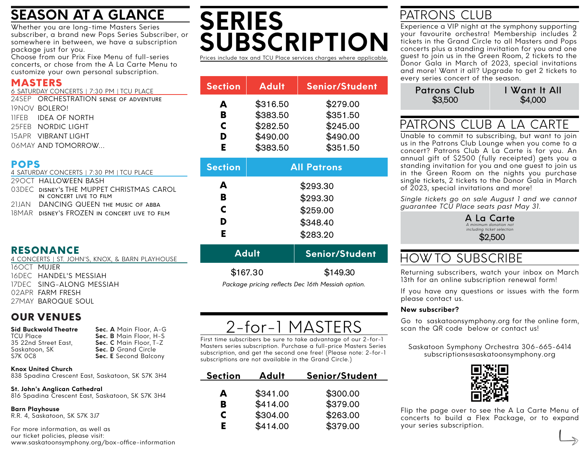# **SEASON AT A GLANCE**

Whether you are long-time Masters Series subscriber, a brand new Pops Series Subscriber, or somewhere in between, we have a subscription package just for you.

Choose from our Prix Fixe Menu of full-series concerts, or chose from the A La Carte Menu to customize your own personal subscription.

### MASTERS

| 6 SATURDAY CONCERTS   7:30 PM   TCU PLACE |
|-------------------------------------------|
| 24SEP ORCHESTRATION SENSE OF ADVENTURE    |
| TONOV BOLERO!                             |
| <b>IIFFR IDEA OF NORTH</b>                |
| 25FFB NORDIC LIGHT                        |
| 15APR VIBRANTIIGHT                        |
| 06MAY AND TOMORROW                        |

### POPS

| 4 SATURDAY CONCERTS   7:30 PM   TCU PLACE |
|-------------------------------------------|
| 29 OCT HALLOWEEN BASH                     |
| O3DEC DISNEY'S THE MUPPET CHRISTMAS CAROL |
| IN CONCERT LIVE TO FILM                   |
| 21JAN DANCING QUEEN THE MUSIC OF ABBA     |

18MAR DISNEY'S FROZEN IN CONCERT LIVE TO FILM

### RESONANCE

16OCT **Mujer** 16DEC HANDEL'S MESSIAH 17DEC SING-ALONG MESSIAH 02APR FARM FRESH 27MAY BAROQUE SOUL 4 CONCERTS | ST. JOHN'S, KNOX, & BARN PLAYHOUSE

## OUR VENUES

| Sid Buckwold Theatre | Sec. A Ma  |
|----------------------|------------|
| TCU Place            | Sec. B Ma  |
| 35 22nd Street East, | Sec. C Ma  |
| Saskatoon. SK        | Sec. D Gro |
| S7K 0C8              | Sec. E Sec |

**Sin Floor, A-G Sec. B** Floor, H-S **Sec. C** Main Floor, T-Z and Circle **Second Balcony** 

### **Knox United Church**

838 Spadina Crescent East, Saskatoon, SK S7K 3H4

## **St. John's Anglican Cathedral**

816 Spadina Crescent East, Saskatoon, SK S7K 3H4

**Barn Playhouse** R.R. 4, Saskatoon, SK S7K 3J7

For more information, as well as our ticket policies, please visit: www.saskatoonsymphony.org/box-office-information

# **SERIES SUBSCRIPTION** Prices include tax and TCU Place services charges where applicable.

| <b>Section</b> | <b>Adult</b> | <b>Senior/Student</b> |
|----------------|--------------|-----------------------|
| A              | \$316.50     | \$279.00              |
| в              | \$383.50     | \$351.50              |
| C              | \$282.50     | \$245.00              |
| D              | \$490.00     | \$490.00              |
| E              | \$383.50     | \$351.50              |

| <b>Section</b> | <b>All Patrons</b> |
|----------------|--------------------|
| A              | \$293.30           |
| в              | \$293.30           |
| C              | \$259.00           |
| D              | \$348.40           |
| F.             | \$283.20           |
|                |                    |

| <b>Adult</b> | Senior/Student                                   |  |  |
|--------------|--------------------------------------------------|--|--|
| \$167.30     | \$149.30                                         |  |  |
|              | Rackage pricing reflects Des 16th Messiah entien |  |  |

*Package pricing reflects Dec 16th Messiah option.*

# 2-for-1 MASTERS

First time subscribers be sure to take advantage of our 2-for-1 Masters series subscription. Purchase a full-price Masters Series subscription, and get the second one free! (Please note: 2-for-1 subscriptions are not available in the Grand Circle.)

| <b>Section</b> | Adult    | Senior/Student |
|----------------|----------|----------------|
| А              | \$341.00 | \$300.00       |
| в              | \$414.00 | \$379.00       |
| C              | \$304.00 | \$263.00       |
| F.             | \$414.00 | \$379.00       |

## PATRONS CLUB

Experience a VIP night at the symphony supporting your favourite orchestra! Membership includes 2 tickets in the Grand Circle to all Masters and Pops concerts plus a standing invitation for you and one guest to join us in the Green Room, 2 tickets to the Donor Gala in March of 2023, special invitations and more! Want it all? Upgrade to get 2 tickets to every series concert of the season.

| <b>Patrons Club</b> | I Want It All |  |
|---------------------|---------------|--|
| \$3,500             | \$4,000       |  |

# PATRONS CLUB A LA CARTE

Unable to commit to subscribing, but want to join us in the Patrons Club Lounge when you come to a concert? Patrons Club A La Carte is for you. An annual gift of \$2500 (fully receipted) gets you a standing invitation for you and one guest to join us in the Green Room on the nights you purchase single tickets, 2 tickets to the Donor Gala in March of 2023, special invitations and more!

*Single tickets go on sale August 1 and we cannot guarantee TCU Place seats past May 31.*

> A La Carte *A minimum donation not including ticket selection* \$2,500

## HOW TO SUBSCRIBE

Returning subscribers, watch your inbox on March 13th for an online subscription renewal form!

If you have any questions or issues with the form please contact us.

### **New subscriber?**

Go to saskatoonsymphony.org for the online form, scan the QR code below or contact us!

Saskatoon Symphony Orchestra 306-665-6414 subscriptions@saskatoonsymphony.org



Flip the page over to see the A La Carte Menu of concerts to build a Flex Package, or to expand your series subscription.